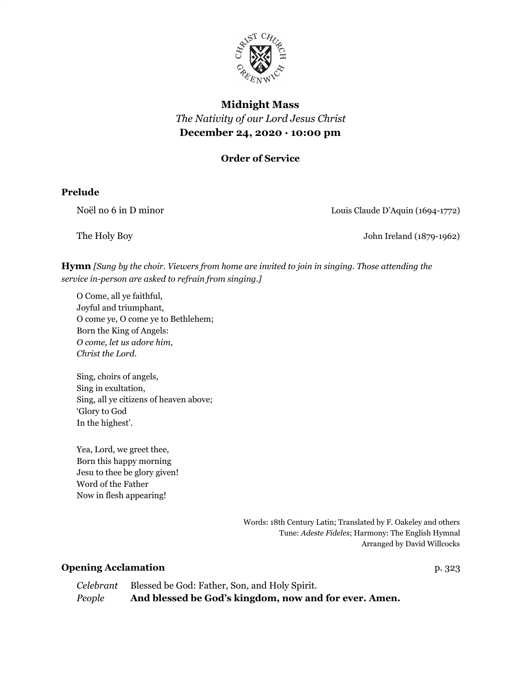

# **Midnight Mass** *The Nativity of our Lord Jesus Christ* **December 24, 2020 · 10:00 pm**

**Order of Service**

### **Prelude**

Noël no 6 in D minor Louis Claude D'Aquin (1694-1772)

The Holy Boy **The Holy Boy** John Ireland (1879-1962)

**Hymn** *[Sung by the choir. Viewers from home are invited to join in singing. Those attending the service in-person are asked to refrain from singing.]*

O Come, all ye faithful, Joyful and triumphant, O come ye, O come ye to Bethlehem; Born the King of Angels: *O come, let us adore him, Christ the Lord.*

Sing, choirs of angels, Sing in exultation, Sing, all ye citizens of heaven above; 'Glory to God In the highest'.

Yea, Lord, we greet thee, Born this happy morning Jesu to thee be glory given! Word of the Father Now in flesh appearing!

> Words: 18th Century Latin; Translated by F. Oakeley and others Tune: *Adeste Fideles*; Harmony: The English Hymnal Arranged by David Willcocks

#### **Opening Acclamation** p. 323

|        | Celebrant Blessed be God: Father, Son, and Holy Spirit. |
|--------|---------------------------------------------------------|
| People | And blessed be God's kingdom, now and for ever. Amen.   |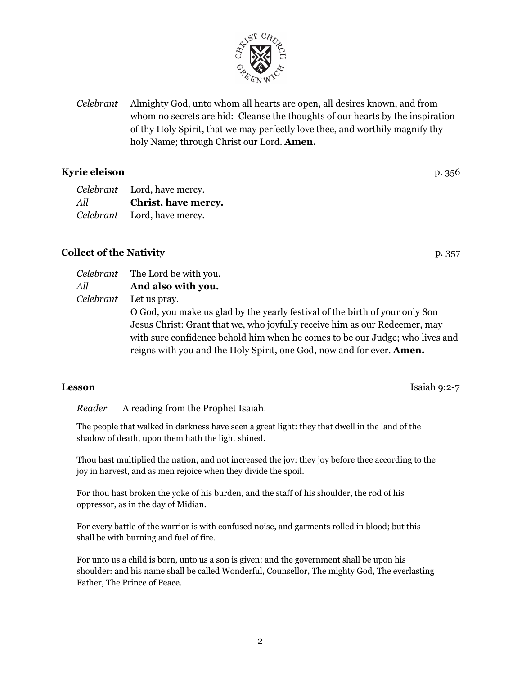*Celebrant* Almighty God, unto whom all hearts are open, all desires known, and from whom no secrets are hid: Cleanse the thoughts of our hearts by the inspiration of thy Holy Spirit, that we may perfectly love thee, and worthily magnify thy holy Name; through Christ our Lord. **Amen.**

## **Kyrie eleison** p. 356

| Celebrant | Lord, have mercy.           |
|-----------|-----------------------------|
| All       | Christ, have mercy.         |
|           | Celebrant Lord, have mercy. |

## **Collect of the Nativity** p. 357

*Celebrant* The Lord be with you. *All* **And also with you.** *Celebrant* Let us pray. O God, you make us glad by the yearly festival of the birth of your only Son Jesus Christ: Grant that we, who joyfully receive him as our Redeemer, may with sure confidence behold him when he comes to be our Judge; who lives and reigns with you and the Holy Spirit, one God, now and for ever. **Amen.**

*Reader* A reading from the Prophet Isaiah.

The people that walked in darkness have seen a great light: they that dwell in the land of the shadow of death, upon them hath the light shined.

Thou hast multiplied the nation, and not increased the joy: they joy before thee according to the joy in harvest, and as men rejoice when they divide the spoil.

For thou hast broken the yoke of his burden, and the staff of his shoulder, the rod of his oppressor, as in the day of Midian.

For every battle of the warrior is with confused noise, and garments rolled in blood; but this shall be with burning and fuel of fire.

For unto us a child is born, unto us a son is given: and the government shall be upon his shoulder: and his name shall be called Wonderful, Counsellor, The mighty God, The everlasting Father, The Prince of Peace.



**Lesson** Isaiah 9:2-7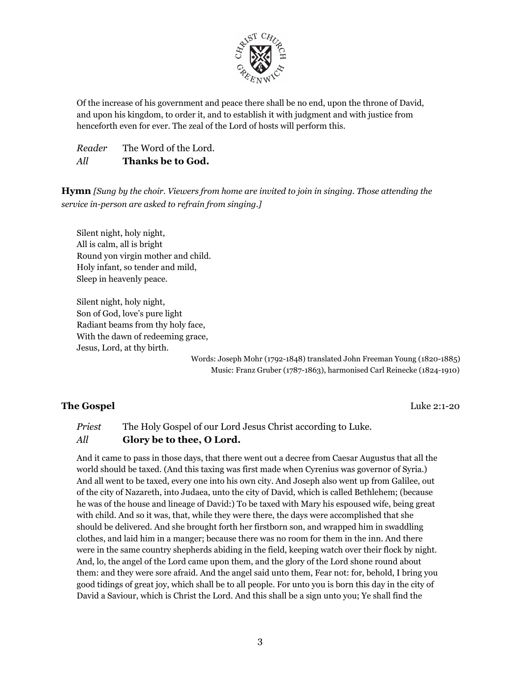

Of the increase of his government and peace there shall be no end, upon the throne of David, and upon his kingdom, to order it, and to establish it with judgment and with justice from henceforth even for ever. The zeal of the Lord of hosts will perform this.

*Reader* The Word of the Lord. *All* **Thanks be to God.**

**Hymn** *[Sung by the choir. Viewers from home are invited to join in singing. Those attending the service in-person are asked to refrain from singing.]*

Silent night, holy night, All is calm, all is bright Round yon virgin mother and child. Holy infant, so tender and mild, Sleep in heavenly peace.

Silent night, holy night, Son of God, love's pure light Radiant beams from thy holy face, With the dawn of redeeming grace, Jesus, Lord, at thy birth.

> Words: Joseph Mohr (1792-1848) translated John Freeman Young (1820-1885) Music: Franz Gruber (1787-1863), harmonised Carl Reinecke (1824-1910)

#### **The Gospel** Luke 2:1-20

*Priest* The Holy Gospel of our Lord Jesus Christ according to Luke. *All* **Glory be to thee, O Lord.**

And it came to pass in those days, that there went out a decree from Caesar Augustus that all the world should be taxed. (And this taxing was first made when Cyrenius was governor of Syria.) And all went to be taxed, every one into his own city. And Joseph also went up from Galilee, out of the city of Nazareth, into Judaea, unto the city of David, which is called Bethlehem; (because he was of the house and lineage of David:) To be taxed with Mary his espoused wife, being great with child. And so it was, that, while they were there, the days were accomplished that she should be delivered. And she brought forth her firstborn son, and wrapped him in swaddling clothes, and laid him in a manger; because there was no room for them in the inn. And there were in the same country shepherds abiding in the field, keeping watch over their flock by night. And, lo, the angel of the Lord came upon them, and the glory of the Lord shone round about them: and they were sore afraid. And the angel said unto them, Fear not: for, behold, I bring you good tidings of great joy, which shall be to all people. For unto you is born this day in the city of David a Saviour, which is Christ the Lord. And this shall be a sign unto you; Ye shall find the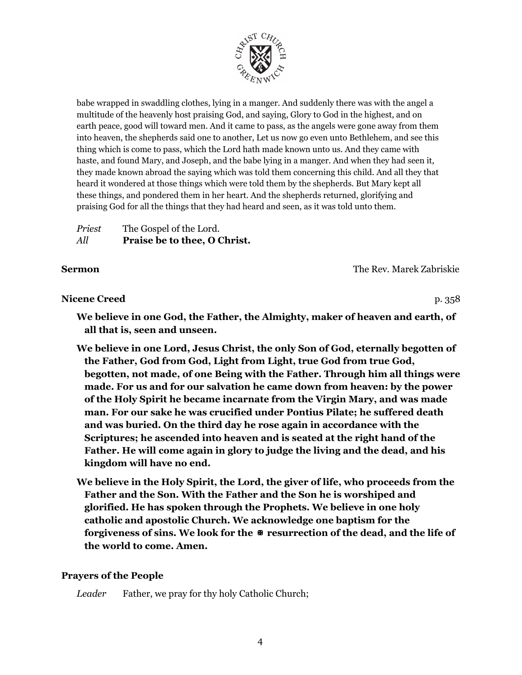

babe wrapped in swaddling clothes, lying in a manger. And suddenly there was with the angel a multitude of the heavenly host praising God, and saying, Glory to God in the highest, and on earth peace, good will toward men. And it came to pass, as the angels were gone away from them into heaven, the shepherds said one to another, Let us now go even unto Bethlehem, and see this thing which is come to pass, which the Lord hath made known unto us. And they came with haste, and found Mary, and Joseph, and the babe lying in a manger. And when they had seen it, they made known abroad the saying which was told them concerning this child. And all they that heard it wondered at those things which were told them by the shepherds. But Mary kept all these things, and pondered them in her heart. And the shepherds returned, glorifying and praising God for all the things that they had heard and seen, as it was told unto them.

| Priest | The Gospel of the Lord.      |
|--------|------------------------------|
| All    | Praise be to thee, O Christ. |

#### **Sermon** The Rev. Marek Zabriskie

**Nicene** Creed p. 358

**We believe in one God, the Father, the Almighty, maker of heaven and earth, of all that is, seen and unseen.**

**We believe in one Lord, Jesus Christ, the only Son of God, eternally begotten of the Father, God from God, Light from Light, true God from true God, begotten, not made, of one Being with the Father. Through him all things were made. For us and for our salvation he came down from heaven: by the power of the Holy Spirit he became incarnate from the Virgin Mary, and was made man. For our sake he was crucified under Pontius Pilate; he suffered death and was buried. On the third day he rose again in accordance with the Scriptures; he ascended into heaven and is seated at the right hand of the Father. He will come again in glory to judge the living and the dead, and his kingdom will have no end.**

**We believe in the Holy Spirit, the Lord, the giver of life, who proceeds from the Father and the Son. With the Father and the Son he is worshiped and glorified. He has spoken through the Prophets. We believe in one holy catholic and apostolic Church. We acknowledge one baptism for the forgiveness of sins. We look for the** ✠ **resurrection of the dead, and the life of the world to come. Amen.**

## **Prayers of the People**

*Leader* Father, we pray for thy holy Catholic Church;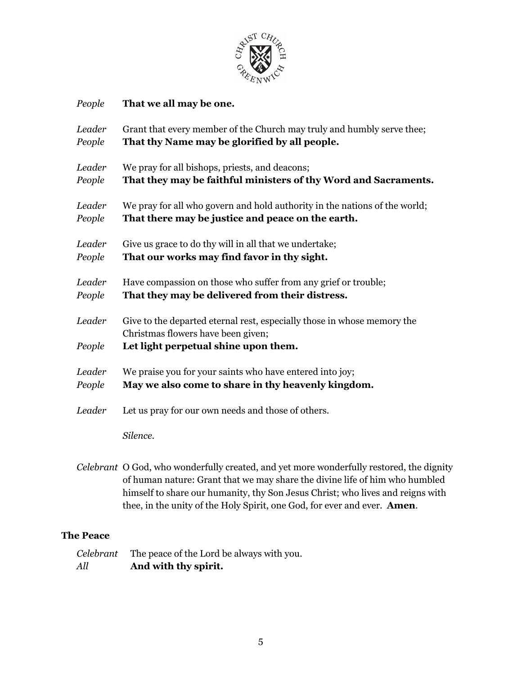

| People           | That we all may be one.                                                                                                                               |
|------------------|-------------------------------------------------------------------------------------------------------------------------------------------------------|
| Leader           | Grant that every member of the Church may truly and humbly serve thee;                                                                                |
| People           | That thy Name may be glorified by all people.                                                                                                         |
| Leader           | We pray for all bishops, priests, and deacons;                                                                                                        |
| People           | That they may be faithful ministers of thy Word and Sacraments.                                                                                       |
| Leader           | We pray for all who govern and hold authority in the nations of the world;                                                                            |
| People           | That there may be justice and peace on the earth.                                                                                                     |
| Leader           | Give us grace to do thy will in all that we undertake;                                                                                                |
| People           | That our works may find favor in thy sight.                                                                                                           |
| Leader           | Have compassion on those who suffer from any grief or trouble;                                                                                        |
| People           | That they may be delivered from their distress.                                                                                                       |
| Leader<br>People | Give to the departed eternal rest, especially those in whose memory the<br>Christmas flowers have been given;<br>Let light perpetual shine upon them. |
| Leader           | We praise you for your saints who have entered into joy;                                                                                              |
| People           | May we also come to share in thy heavenly kingdom.                                                                                                    |
| Leader           | Let us pray for our own needs and those of others.                                                                                                    |
|                  | Silence.                                                                                                                                              |

*Celebrant* O God, who wonderfully created, and yet more wonderfully restored, the dignity of human nature: Grant that we may share the divine life of him who humbled himself to share our humanity, thy Son Jesus Christ; who lives and reigns with thee, in the unity of the Holy Spirit, one God, for ever and ever. **Amen**.

## **The Peace**

|     | Celebrant The peace of the Lord be always with you. |
|-----|-----------------------------------------------------|
| All | And with thy spirit.                                |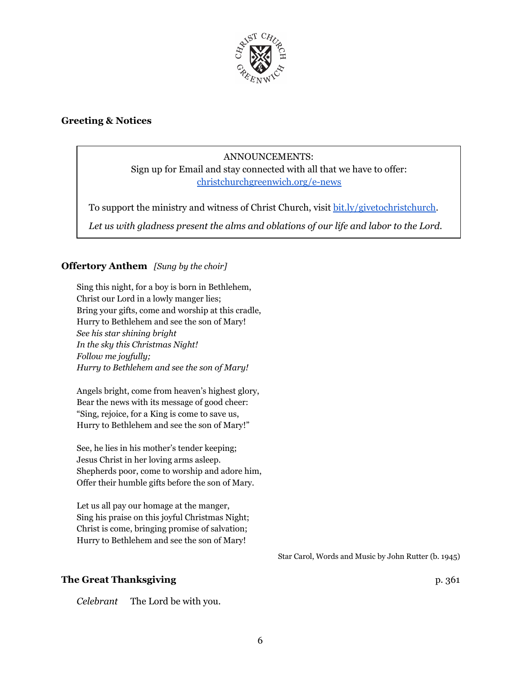

#### **Greeting & Notices**

### ANNOUNCEMENTS:

Sign up for Email and stay connected with all that we have to offer: [christchurchgreenwich.org/e-news](https://christchurchgreenwich.org/e-news/)

To support the ministry and witness of Christ Church, visit [bit.ly/givetochristchurch.](http://bit.ly/givetochristchurch)

*Let us with gladness present the alms and oblations of our life and labor to the Lord.*

#### **Offertory Anthem** *[Sung by the choir]*

Sing this night, for a boy is born in Bethlehem, Christ our Lord in a lowly manger lies; Bring your gifts, come and worship at this cradle, Hurry to Bethlehem and see the son of Mary! *See his star shining bright In the sky this Christmas Night! Follow me joyfully; Hurry to Bethlehem and see the son of Mary!*

Angels bright, come from heaven's highest glory, Bear the news with its message of good cheer: "Sing, rejoice, for a King is come to save us, Hurry to Bethlehem and see the son of Mary!"

See, he lies in his mother's tender keeping; Jesus Christ in her loving arms asleep. Shepherds poor, come to worship and adore him, Offer their humble gifts before the son of Mary.

Let us all pay our homage at the manger, Sing his praise on this joyful Christmas Night; Christ is come, bringing promise of salvation; Hurry to Bethlehem and see the son of Mary!

Star Carol, Words and Music by John Rutter (b. 1945)

#### **The Great Thanksgiving** p. 361

*Celebrant* The Lord be with you.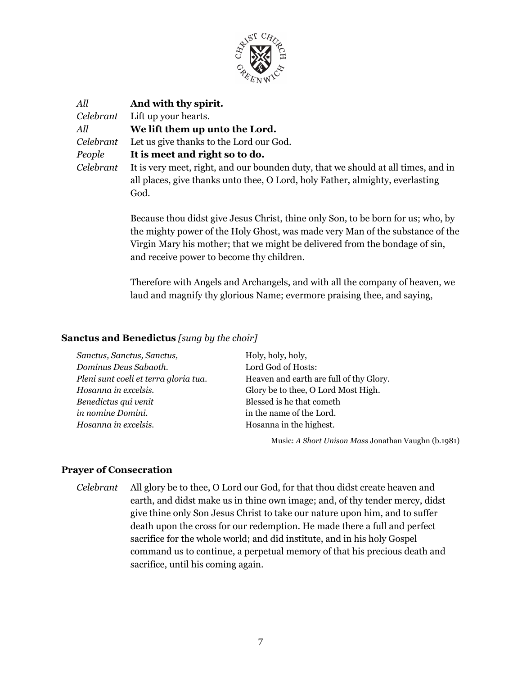

| All       | And with thy spirit.                                                              |
|-----------|-----------------------------------------------------------------------------------|
| Celebrant | Lift up your hearts.                                                              |
| All       | We lift them up unto the Lord.                                                    |
| Celebrant | Let us give thanks to the Lord our God.                                           |
| People    | It is meet and right so to do.                                                    |
| Celebrant | It is very meet, right, and our bounden duty, that we should at all times, and in |
|           | all places, give thanks unto thee, O Lord, holy Father, almighty, everlasting     |
|           | God.                                                                              |
|           |                                                                                   |

Because thou didst give Jesus Christ, thine only Son, to be born for us; who, by the mighty power of the Holy Ghost, was made very Man of the substance of the Virgin Mary his mother; that we might be delivered from the bondage of sin, and receive power to become thy children.

Therefore with Angels and Archangels, and with all the company of heaven, we laud and magnify thy glorious Name; evermore praising thee, and saying,

#### **Sanctus and Benedictus** *[sung by the choir]*

| Sanctus, Sanctus, Sanctus,            | Holy, holy, holy,                       |
|---------------------------------------|-----------------------------------------|
| Dominus Deus Sabaoth.                 | Lord God of Hosts:                      |
| Pleni sunt coeli et terra gloria tua. | Heaven and earth are full of thy Glory. |
| Hosanna in excelsis.                  | Glory be to thee, O Lord Most High.     |
| Benedictus qui venit                  | Blessed is he that cometh               |
| in nomine Domini.                     | in the name of the Lord.                |
| Hosanna in excelsis.                  | Hosanna in the highest.                 |
|                                       |                                         |

Music: *A Short Unison Mass* Jonathan Vaughn (b.1981)

#### **Prayer of Consecration**

*Celebrant* All glory be to thee, O Lord our God, for that thou didst create heaven and earth, and didst make us in thine own image; and, of thy tender mercy, didst give thine only Son Jesus Christ to take our nature upon him, and to suffer death upon the cross for our redemption. He made there a full and perfect sacrifice for the whole world; and did institute, and in his holy Gospel command us to continue, a perpetual memory of that his precious death and sacrifice, until his coming again.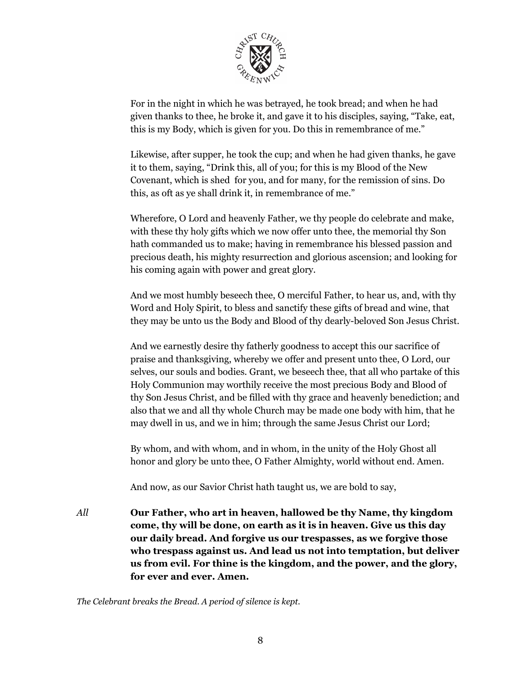

For in the night in which he was betrayed, he took bread; and when he had given thanks to thee, he broke it, and gave it to his disciples, saying, "Take, eat, this is my Body, which is given for you. Do this in remembrance of me."

Likewise, after supper, he took the cup; and when he had given thanks, he gave it to them, saying, "Drink this, all of you; for this is my Blood of the New Covenant, which is shed for you, and for many, for the remission of sins. Do this, as oft as ye shall drink it, in remembrance of me."

Wherefore, O Lord and heavenly Father, we thy people do celebrate and make, with these thy holy gifts which we now offer unto thee, the memorial thy Son hath commanded us to make; having in remembrance his blessed passion and precious death, his mighty resurrection and glorious ascension; and looking for his coming again with power and great glory.

And we most humbly beseech thee, O merciful Father, to hear us, and, with thy Word and Holy Spirit, to bless and sanctify these gifts of bread and wine, that they may be unto us the Body and Blood of thy dearly-beloved Son Jesus Christ.

And we earnestly desire thy fatherly goodness to accept this our sacrifice of praise and thanksgiving, whereby we offer and present unto thee, O Lord, our selves, our souls and bodies. Grant, we beseech thee, that all who partake of this Holy Communion may worthily receive the most precious Body and Blood of thy Son Jesus Christ, and be filled with thy grace and heavenly benediction; and also that we and all thy whole Church may be made one body with him, that he may dwell in us, and we in him; through the same Jesus Christ our Lord;

By whom, and with whom, and in whom, in the unity of the Holy Ghost all honor and glory be unto thee, O Father Almighty, world without end. Amen.

And now, as our Savior Christ hath taught us, we are bold to say,

*All* **Our Father, who art in heaven, hallowed be thy Name, thy kingdom come, thy will be done, on earth as it is in heaven. Give us this day our daily bread. And forgive us our trespasses, as we forgive those who trespass against us. And lead us not into temptation, but deliver us from evil. For thine is the kingdom, and the power, and the glory, for ever and ever. Amen.**

*The Celebrant breaks the Bread. A period of silence is kept.*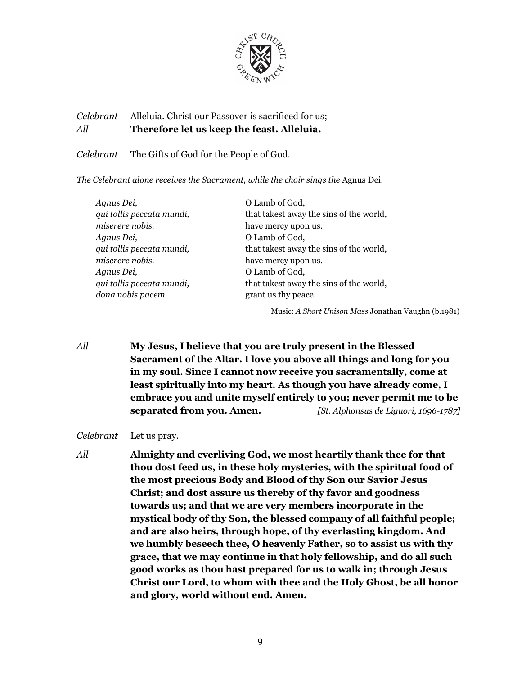

## *Celebrant* Alleluia. Christ our Passover is sacrificed for us; *All* **Therefore let us keep the feast. Alleluia.**

*Celebrant* The Gifts of God for the People of God.

*The Celebrant alone receives the Sacrament, while the choir sings the* Agnus Dei.

| Agnus Dei,                | O Lamb of God,                          |
|---------------------------|-----------------------------------------|
| qui tollis peccata mundi, | that takest away the sins of the world, |
| miserere nobis.           | have mercy upon us.                     |
| Agnus Dei,                | O Lamb of God,                          |
| qui tollis peccata mundi, | that takest away the sins of the world, |
| miserere nobis.           | have mercy upon us.                     |
| Agnus Dei,                | O Lamb of God,                          |
| qui tollis peccata mundi, | that takest away the sins of the world, |
| dona nobis pacem.         | grant us thy peace.                     |

Music: *A Short Unison Mass* Jonathan Vaughn (b.1981)

*All* **My Jesus, I believe that you are truly present in the Blessed Sacrament of the Altar. I love you above all things and long for you in my soul. Since I cannot now receive you sacramentally, come at least spiritually into my heart. As though you have already come, I embrace you and unite myself entirely to you; never permit me to be separated from you. Amen.** *[St. Alphonsus de Liguori, 1696-1787]*

*Celebrant* Let us pray.

*All* **Almighty and everliving God, we most heartily thank thee for that thou dost feed us, in these holy mysteries, with the spiritual food of the most precious Body and Blood of thy Son our Savior Jesus Christ; and dost assure us thereby of thy favor and goodness towards us; and that we are very members incorporate in the mystical body of thy Son, the blessed company of all faithful people; and are also heirs, through hope, of thy everlasting kingdom. And we humbly beseech thee, O heavenly Father, so to assist us with thy grace, that we may continue in that holy fellowship, and do all such good works as thou hast prepared for us to walk in; through Jesus Christ our Lord, to whom with thee and the Holy Ghost, be all honor and glory, world without end. Amen.**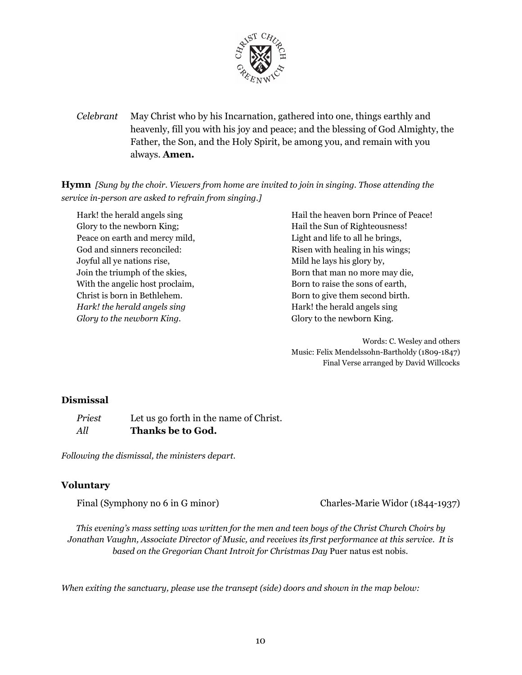

*Celebrant* May Christ who by his Incarnation, gathered into one, things earthly and heavenly, fill you with his joy and peace; and the blessing of God Almighty, the Father, the Son, and the Holy Spirit, be among you, and remain with you always. **Amen.**

**Hymn** *[Sung by the choir. Viewers from home are invited to join in singing. Those attending the service in-person are asked to refrain from singing.]*

Hark! the herald angels sing Glory to the newborn King; Peace on earth and mercy mild, God and sinners reconciled: Joyful all ye nations rise, Join the triumph of the skies, With the angelic host proclaim, Christ is born in Bethlehem. *Hark! the herald angels sing Glory to the newborn King.*

Hail the heaven born Prince of Peace! Hail the Sun of Righteousness! Light and life to all he brings, Risen with healing in his wings; Mild he lays his glory by, Born that man no more may die, Born to raise the sons of earth, Born to give them second birth. Hark! the herald angels sing Glory to the newborn King.

Words: C. Wesley and others Music: Felix Mendelssohn-Bartholdy (1809-1847) Final Verse arranged by David Willcocks

#### **Dismissal**

*Priest* Let us go forth in the name of Christ. *All* **Thanks be to God.**

*Following the dismissal, the ministers depart.*

#### **Voluntary**

Final (Symphony no 6 in G minor) Charles-Marie Widor (1844-1937)

*This evening's mass setting was written for the men and teen boys of the Christ Church Choirs by Jonathan Vaughn, Associate Director of Music, and receives its first performance at this service. It is based on the Gregorian Chant Introit for Christmas Day* Puer natus est nobis.

*When exiting the sanctuary, please use the transept (side) doors and shown in the map below:*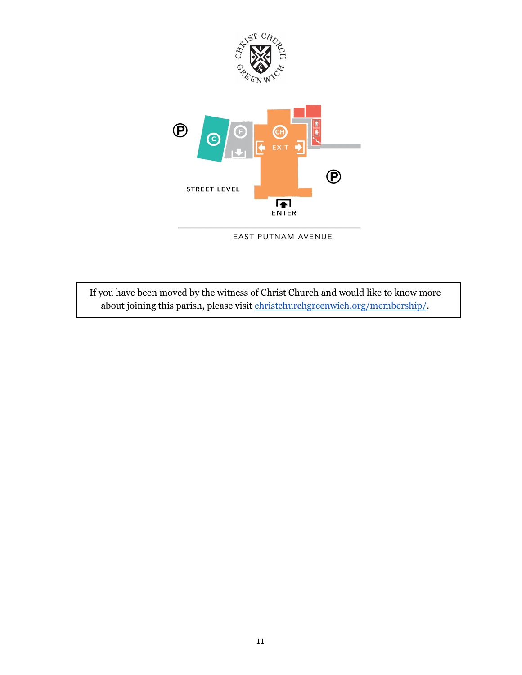

EAST PUTNAM AVENUE

If you have been moved by the witness of Christ Church and would like to know more about joining this parish, please visit [christchurchgreenwich.org/membership/.](https://christchurchgreenwich.org/membership/)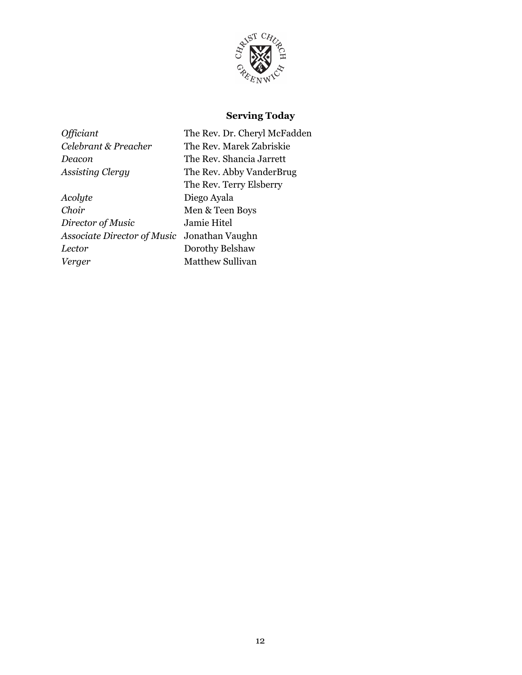

## **Serving Today**

*Acolyte* Diego Ayala *Choir* Men & Teen Boys *Director of Music* Jamie Hitel *Associate Director of Music* Jonathan Vaughn *Lector* Dorothy Belshaw *Verger* Matthew Sullivan

*Officiant* The Rev. Dr. Cheryl McFadden *Celebrant & Preacher* The Rev. Marek Zabriskie *Deacon* The Rev. Shancia Jarrett *Assisting Clergy* The Rev. Abby VanderBrug The Rev. Terry Elsberry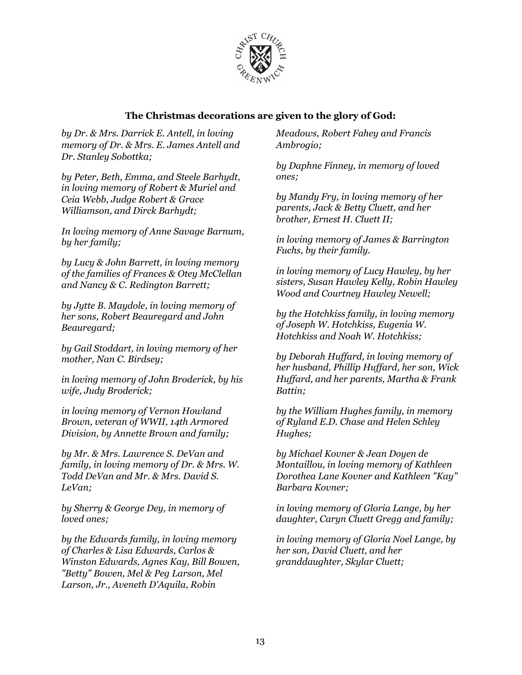

### **The Christmas decorations are given to the glory of God:**

*by Dr. & Mrs. Darrick E. Antell, in loving memory of Dr. & Mrs. E. James Antell and Dr. Stanley Sobottka;*

*by Peter, Beth, Emma, and Steele Barhydt, in loving memory of Robert & Muriel and Ceia Webb, Judge Robert & Grace Williamson, and Dirck Barhydt;*

*In loving memory of Anne Savage Barnum, by her family;*

*by Lucy & John Barrett, in loving memory of the families of Frances & Otey McClellan and Nancy & C. Redington Barrett;*

*by Jytte B. Maydole, in loving memory of her sons, Robert Beauregard and John Beauregard;*

*by Gail Stoddart, in loving memory of her mother, Nan C. Birdsey;*

*in loving memory of John Broderick, by his wife, Judy Broderick;*

*in loving memory of Vernon Howland Brown, veteran of WWII, 14th Armored Division, by Annette Brown and family;*

*by Mr. & Mrs. Lawrence S. DeVan and family, in loving memory of Dr. & Mrs. W. Todd DeVan and Mr. & Mrs. David S. LeVan;*

*by Sherry & George Dey, in memory of loved ones;*

*by the Edwards family, in loving memory of Charles & Lisa Edwards, Carlos & Winston Edwards, Agnes Kay, Bill Bowen, "Betty" Bowen, Mel & Peg Larson, Mel Larson, Jr., Aveneth D'Aquila, Robin*

*Meadows, Robert Fahey and Francis Ambrogio;*

*by Daphne Finney, in memory of loved ones;*

*by Mandy Fry, in loving memory of her parents, Jack & Betty Cluett, and her brother, Ernest H. Cluett II;*

*in loving memory of James & Barrington Fuchs, by their family.*

*in loving memory of Lucy Hawley, by her sisters, Susan Hawley Kelly, Robin Hawley Wood and Courtney Hawley Newell;*

*by the Hotchkiss family, in loving memory of Joseph W. Hotchkiss, Eugenia W. Hotchkiss and Noah W. Hotchkiss;*

*by Deborah Huf ard, in loving memory of her husband, Phillip Huf ard, her son, Wick Huf ard, and her parents, Martha & Frank Battin;*

*by the William Hughes family, in memory of Ryland E.D. Chase and Helen Schley Hughes;*

*by Michael Kovner & Jean Doyen de Montaillou, in loving memory of Kathleen Dorothea Lane Kovner and Kathleen "Kay" Barbara Kovner;*

*in loving memory of Gloria Lange, by her daughter, Caryn Cluett Gregg and family;*

*in loving memory of Gloria Noel Lange, by her son, David Cluett, and her granddaughter, Skylar Cluett;*